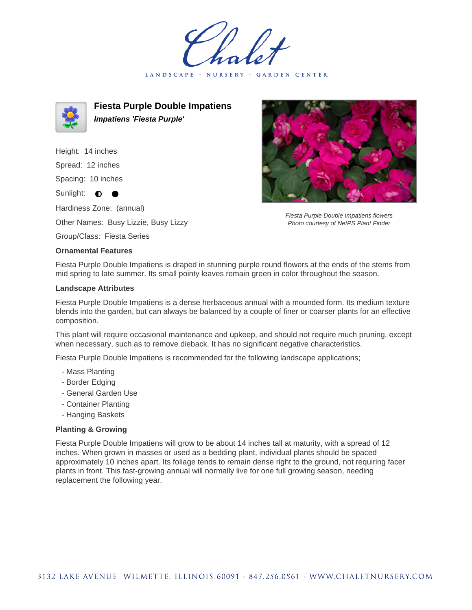LANDSCAPE · GARDEN CENTER



**Fiesta Purple Double Impatiens Impatiens 'Fiesta Purple'**

Height: 14 inches Spread: 12 inches

Spacing: 10 inches

Sunlight:  $\bullet$ 

Hardiness Zone: (annual)

Other Names: Busy Lizzie, Busy Lizzy

Group/Class: Fiesta Series



## **Ornamental Features**

Fiesta Purple Double Impatiens is draped in stunning purple round flowers at the ends of the stems from mid spring to late summer. Its small pointy leaves remain green in color throughout the season.

## **Landscape Attributes**

Fiesta Purple Double Impatiens is a dense herbaceous annual with a mounded form. Its medium texture blends into the garden, but can always be balanced by a couple of finer or coarser plants for an effective composition.

This plant will require occasional maintenance and upkeep, and should not require much pruning, except when necessary, such as to remove dieback. It has no significant negative characteristics.

Fiesta Purple Double Impatiens is recommended for the following landscape applications;

- Mass Planting
- Border Edging
- General Garden Use
- Container Planting
- Hanging Baskets

## **Planting & Growing**

Fiesta Purple Double Impatiens will grow to be about 14 inches tall at maturity, with a spread of 12 inches. When grown in masses or used as a bedding plant, individual plants should be spaced approximately 10 inches apart. Its foliage tends to remain dense right to the ground, not requiring facer plants in front. This fast-growing annual will normally live for one full growing season, needing replacement the following year.